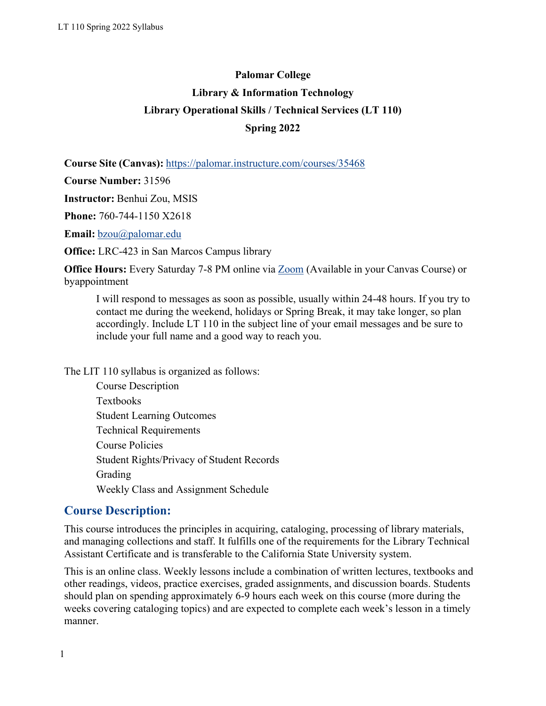# **Palomar College Library & Information Technology Library Operational Skills / Technical Services (LT 110) Spring 2022**

**Course Site (Canvas):** https://palomar.instructure.com/courses/35468

**Course Number:** 31596

**Instructor:** Benhui Zou, MSIS

**Phone:** 760-744-1150 X2618

**Email:** [bzou@palomar.edu](mailto:bzou@palomar.edu)

**Office:** LRC-423 in San Marcos Campus library

**Office Hours:** Every Saturday 7-8 PM online via **[Zoom](https://palomar-edu.zoom.us/j/94009699322?pwd=L1phdjRVNUFxMUhhVVFuQlpHQUxvZz09)** (Available in your Canvas Course) or byappointment

I will respond to messages as soon as possible, usually within 24-48 hours. If you try to contact me during the weekend, holidays or Spring Break, it may take longer, so plan accordingly. Include LT 110 in the subject line of your email messages and be sure to include your full name and a good way to reach you.

The LIT 110 syllabus is organized as follows:

Course Description Textbooks Student Learning Outcomes Technical Requirements Course Policies Student Rights/Privacy of Student Records Grading Weekly Class and Assignment Schedule

## **Course Description:**

This course introduces the principles in acquiring, cataloging, processing of library materials, and managing collections and staff. It fulfills one of the requirements for the Library Technical Assistant Certificate and is transferable to the California State University system.

This is an online class. Weekly lessons include a combination of written lectures, textbooks and other readings, videos, practice exercises, graded assignments, and discussion boards. Students should plan on spending approximately 6-9 hours each week on this course (more during the weeks covering cataloging topics) and are expected to complete each week's lesson in a timely manner.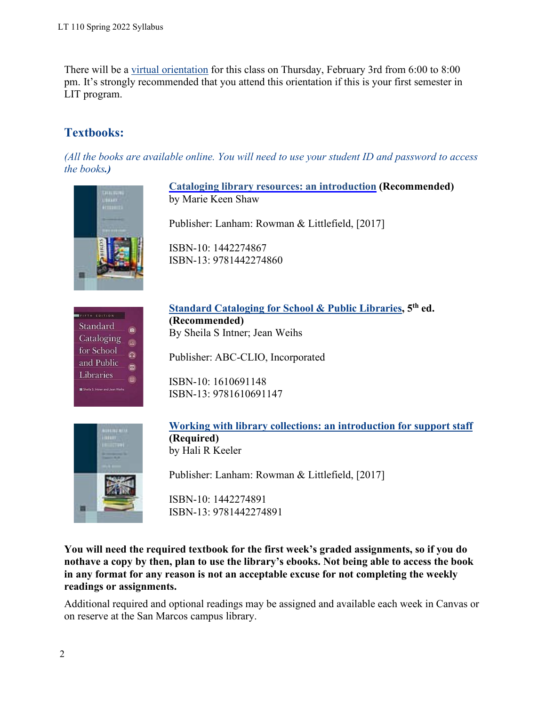There will be a [virtual orientation](https://palomar-edu.zoom.us/j/97653092235) for this class on Thursday, February 3rd from 6:00 to 8:00 pm. It's strongly recommended that you attend this orientation if this is your first semester in LIT program.

# **Textbooks:**

*(All the books are available online. You will need to use your student ID and password to access the books.)*



**Cataloging library resources: an [introduction](https://caccl-palomar.primo.exlibrisgroup.com/view/action/uresolver.do?operation=resolveService&package_service_id=1195863390005338&institutionId=5338&customerId=5260) (Recommended)** by Marie Keen Shaw

Publisher: Lanham: Rowman & Littlefield, [2017]

ISBN-10: 1442274867 ISBN-13: 9781442274860



**Standard [Cataloging](https://caccl-palomar.primo.exlibrisgroup.com/view/action/uresolver.do?operation=resolveService&package_service_id=1195863380005338&institutionId=5338&customerId=5260) for School & Public Libraries, 5th ed. (Recommended)** By Sheila S Intner; Jean Weihs

Publisher: ABC-CLIO, Incorporated

ISBN-10: 1610691148 ISBN-13: 9781610691147



**[Working with library collections: an introduction for support staff](https://caccl-palomar.primo.exlibrisgroup.com/view/action/uresolver.do?operation=resolveService&package_service_id=1195863370005338&institutionId=5338&customerId=5260) (Required)** by Hali R Keeler

Publisher: Lanham: Rowman & Littlefield, [2017]

ISBN-10: 1442274891 ISBN-13: 9781442274891

**You will need the required textbook for the first week's graded assignments, so if you do nothave a copy by then, plan to use the library's ebooks. Not being able to access the book in any format for any reason is not an acceptable excuse for not completing the weekly readings or assignments.**

Additional required and optional readings may be assigned and available each week in Canvas or on reserve at the San Marcos campus library.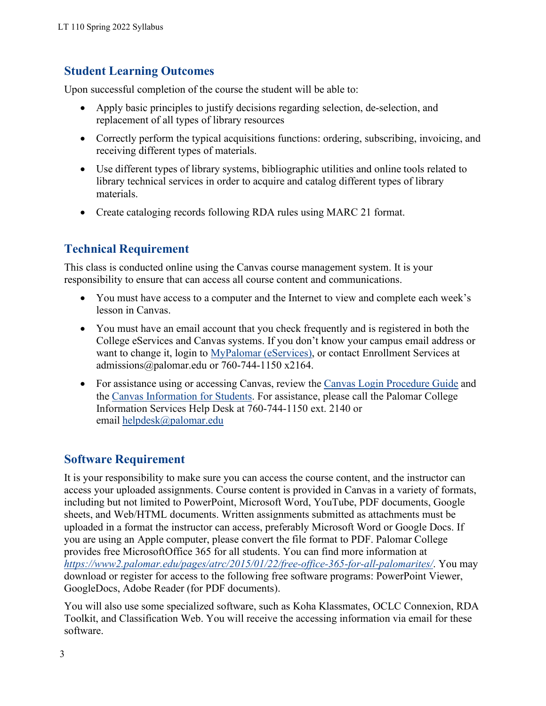## **Student Learning Outcomes**

Upon successful completion of the course the student will be able to:

- Apply basic principles to justify decisions regarding selection, de-selection, and replacement of all types of library resources
- Correctly perform the typical acquisitions functions: ordering, subscribing, invoicing, and receiving different types of materials.
- Use different types of library systems, bibliographic utilities and online tools related to library technical services in order to acquire and catalog different types of library materials.
- Create cataloging records following RDA rules using MARC 21 format.

# **Technical Requirement**

This class is conducted online using the Canvas course management system. It is your responsibility to ensure that can access all course content and communications.

- You must have access to a computer and the Internet to view and complete each week's lesson in Canvas.
- You must have an email account that you check frequently and is registered in both the College eServices and Canvas systems. If you don't know your campus email address or want to change it, login to [MyPalomar \(eServices\),](https://my.palomar.edu/psp/palc9prd/?cmd=login) or contact Enrollment Services at [admissions@palomar.edu](mailto:admissions@palomar.edu) or 760-744-1150 x2164.
- For assistance using or accessing Canvas, review the Canvas Login [Procedure](https://www2.palomar.edu/pages/is/canvas-login-procedure/) Guide and the [Canvas Information for Students.](https://www2.palomar.edu/pages/atrc/canvas/canvas-information-students/) For assistance, please call the Palomar College Information Services Help Desk at 760-744-1150 ext. 2140 or email [helpdesk@palomar.edu](mailto:helpdesk@palomar.edu)

# **Software Requirement**

It is your responsibility to make sure you can access the course content, and the instructor can access your uploaded assignments. Course content is provided in Canvas in a variety of formats, including but not limited to PowerPoint, Microsoft Word, YouTube, PDF documents, Google sheets, and Web/HTML documents. Written assignments submitted as attachments must be uploaded in a format the instructor can access, preferably Microsoft Word or Google Docs. If you are using an Apple computer, please convert the file format to PDF. Palomar College provides free MicrosoftOffice 365 for all students. You can find more information at *<https://www2.palomar.edu/pages/atrc/2015/01/22/free-office-365-for-all-palomarites/>*. You may download or register for access to the following free software programs: PowerPoint Viewer, GoogleDocs, Adobe Reader (for PDF documents).

You will also use some specialized software, such as Koha Klassmates, OCLC Connexion, RDA Toolkit, and Classification Web. You will receive the accessing information via email for these software.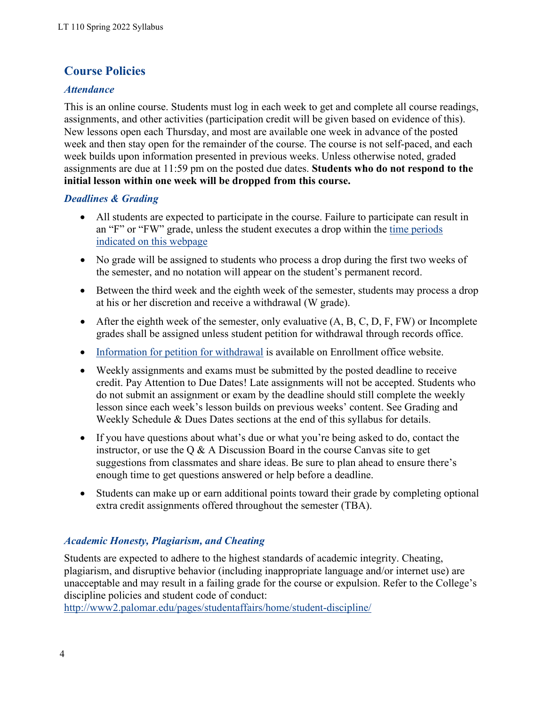# **Course Policies**

## *Attendance*

This is an online course. Students must log in each week to get and complete all course readings, assignments, and other activities (participation credit will be given based on evidence of this). New lessons open each Thursday, and most are available one week in advance of the posted week and then stay open for the remainder of the course. The course is not self-paced, and each week builds upon information presented in previous weeks. Unless otherwise noted, graded assignments are due at 11:59 pm on the posted due dates. **Students who do not respond to the initial lesson within one week will be dropped from this course.**

## *Deadlines & Grading*

- All students are expected to participate in the course. Failure to participate can result in an "F" or "FW" grade, unless the student executes a drop within the [time periods](https://www2.palomar.edu/pages/enrollmentservices/calendars/) indicated [on this webpage](https://www2.palomar.edu/pages/enrollmentservices/calendars/)
- No grade will be assigned to students who process a drop during the first two weeks of the semester, and no notation will appear on the student's permanent record.
- Between the third week and the eighth week of the semester, students may process a drop at his or her discretion and receive a withdrawal (W grade).
- After the eighth week of the semester, only evaluative  $(A, B, C, D, F, FW)$  or Incomplete grades shall be assigned unless student petition for withdrawal through records office.
- [Information](https://www2.palomar.edu/pages/enrollmentservices/appeals-and-petitions/) for petition for withdrawal is available on Enrollment office website.
- Weekly assignments and exams must be submitted by the posted deadline to receive credit. Pay Attention to Due Dates! Late assignments will not be accepted. Students who do not submit an assignment or exam by the deadline should still complete the weekly lesson since each week's lesson builds on previous weeks' content. See Grading and Weekly Schedule & Dues Dates sections at the end of this syllabus for details.
- If you have questions about what's due or what you're being asked to do, contact the instructor, or use the  $Q \& A$  Discussion Board in the course Canvas site to get suggestions from classmates and share ideas. Be sure to plan ahead to ensure there's enough time to get questions answered or help before a deadline.
- Students can make up or earn additional points toward their grade by completing optional extra credit assignments offered throughout the semester (TBA).

## *Academic Honesty, Plagiarism, and Cheating*

Students are expected to adhere to the highest standards of academic integrity. Cheating, plagiarism, and disruptive behavior (including inappropriate language and/or internet use) are unacceptable and may result in a failing grade for the course or expulsion. Refer to the College's discipline policies and student code of conduct:

<http://www2.palomar.edu/pages/studentaffairs/home/student-discipline/>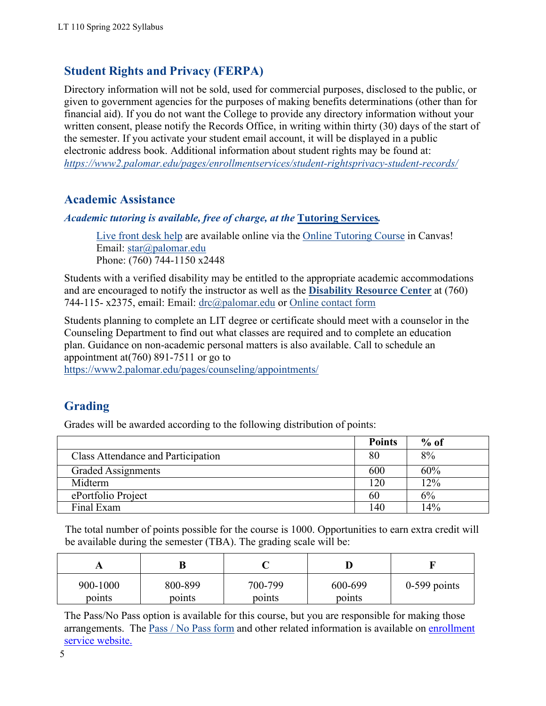# **Student Rights and Privacy (FERPA)**

Directory information will not be sold, used for commercial purposes, disclosed to the public, or given to government agencies for the purposes of making benefits determinations (other than for financial aid). If you do not want the College to provide any directory information without your written consent, please notify the Records Office, in writing within thirty (30) days of the start of the semester. If you activate your student email account, it will be displayed in a public electronic address book. Additional information about student rights may be found at: *<https://www2.palomar.edu/pages/enrollmentservices/student-rightsprivacy-student-records/>*

# **Academic Assistance**

*Academic tutoring is available, free of charge, at the* **[Tutoring](https://www2.palomar.edu/pages/tutoringservices/) Services***.*

Live [front](https://palomar-edu.zoom.us/j/96481604845) desk help are available online via the Online [Tutoring](https://palomar.instructure.com/enroll/E9J88Y) Course in Canvas! Email: [star@palomar.edu](mailto:star@palomar.edu) Phone: (760) 744-1150 x2448

Students with a verified disability may be entitled to the appropriate academic accommodations and are encouraged to notify the instructor as well as the **[Disability Resource Center](http://www2.palomar.edu/pages/drc/)** at (760) 744-115- x2375, email: Email: [drc@palomar.edu](mailto:drc@palomar.edu) or [Online contact form](https://www2.palomar.edu/pages/drc/drc-contact-form/)

Students planning to complete an LIT degree or certificate should meet with a counselor in the Counseling Department to find out what classes are required and to complete an education plan. Guidance on non-academic personal matters is also available. Call to schedule an appointment at(760) 891-7511 or go to

<https://www2.palomar.edu/pages/counseling/appointments/>

# **Grading**

Grades will be awarded according to the following distribution of points:

|                                    | <b>Points</b> | $%$ of |
|------------------------------------|---------------|--------|
| Class Attendance and Participation | 80            | 8%     |
| <b>Graded Assignments</b>          | 600           | 60%    |
| Midterm                            | 120           | 12%    |
| ePortfolio Project                 | 60            | 6%     |
| Final Exam                         | .40           | 14%    |

The total number of points possible for the course is 1000. Opportunities to earn extra credit will be available during the semester (TBA). The grading scale will be:

| 1 L      | В       |         |         |                |
|----------|---------|---------|---------|----------------|
| 900-1000 | 800-899 | 700-799 | 600-699 | $0-599$ points |
| points   | points  | points  | points  |                |

The Pass/No Pass option is available for this course, but you are responsible for making those arrangements. The Pass / No Pass [form](https://www2.palomar.edu/pages/enrollmentservices/forms/%23Pass/No_Pass) and other related information is available on [enrollment](https://www2.palomar.edu/pages/enrollmentservices/forms/) service [website.](https://www2.palomar.edu/pages/enrollmentservices/forms/)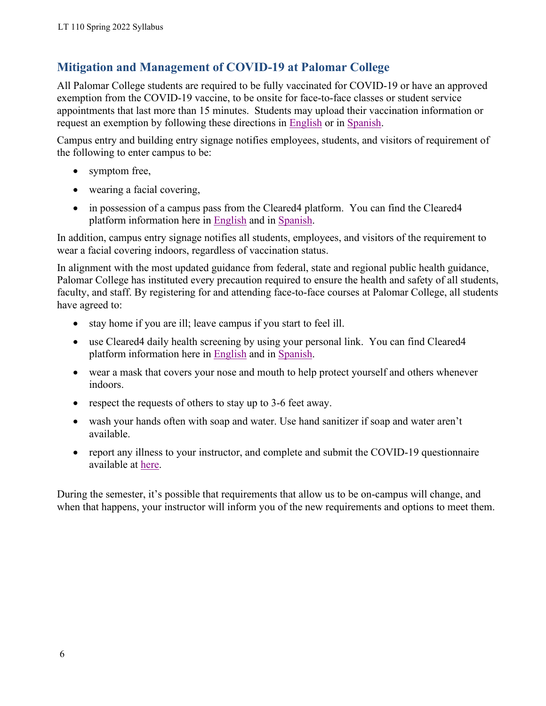# **Mitigation and Management of COVID-19 at Palomar College**

All Palomar College students are required to be fully vaccinated for COVID-19 or have an approved exemption from the COVID-19 vaccine, to be onsite for face-to-face classes or student service appointments that last more than 15 minutes. Students may upload their vaccination information or request an exemption by following these directions in [English](https://www2.palomar.edu/pages/covid19/files/2021/08/Student-Guide-COVID-eForm.pdf) or in [Spanish.](https://www2.palomar.edu/pages/covid19/files/2021/09/Student-Guide-COVID-eForm_ES.pdf)

Campus entry and building entry signage notifies employees, students, and visitors of requirement of the following to enter campus to be:

- symptom free,
- wearing a facial covering,
- in possession of a campus pass from the Cleared 4 platform. You can find the Cleared 4 platform information here in [English](https://www2.palomar.edu/pages/covid19/files/2021/10/Cleared4-Student-Communication.pdf) and in [Spanish.](https://www2.palomar.edu/pages/covid19/files/2021/11/Cleared4-Student-Communication_es-US.pdf)

In addition, campus entry signage notifies all students, employees, and visitors of the requirement to wear a facial covering indoors, regardless of vaccination status.

In alignment with the most updated guidance from federal, state and regional public health guidance, Palomar College has instituted every precaution required to ensure the health and safety of all students, faculty, and staff. By registering for and attending face-to-face courses at Palomar College, all students have agreed to:

- stay home if you are ill; leave campus if you start to feel ill.
- use Cleared4 daily health screening by using your personal link. You can find Cleared4 platform information here in [English](https://www2.palomar.edu/pages/covid19/files/2021/10/Cleared4-Student-Communication.pdf) and in [Spanish.](https://www2.palomar.edu/pages/covid19/files/2021/11/Cleared4-Student-Communication_es-US.pdf)
- wear a mask that covers your nose and mouth to help protect yourself and others whenever indoors.
- respect the requests of others to stay up to 3-6 feet away.
- wash your hands often with soap and water. Use hand sanitizer if soap and water aren't available.
- report any illness to your instructor, and complete and submit the COVID-19 questionnaire available at [here.](https://www2.palomar.edu/pages/covid19/covid-19-questionnaire/)

During the semester, it's possible that requirements that allow us to be on-campus will change, and when that happens, your instructor will inform you of the new requirements and options to meet them.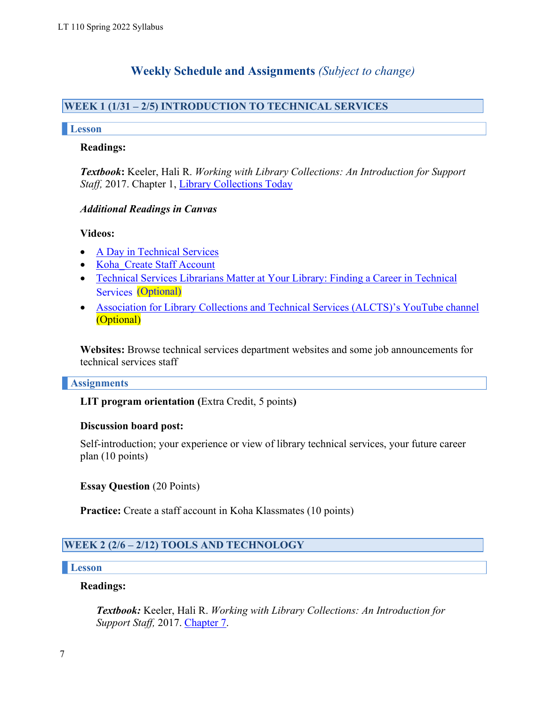## **Weekly Schedule and Assignments** *(Subject to change)*

## **WEEK 1 (1/31 – 2/5) INTRODUCTION TO TECHNICAL SERVICES**

#### **Lesson**

#### **Readings:**

*Textbook***:** Keeler, Hali R. *Working with Library Collections: An Introduction for Support* Staff, 2017. Chapter 1, [Library Collections Today](https://login.ezproxy.palomar.edu/login?url=http://search.ebscohost.com/login.aspx?direct=true&db=nlebk&AN=1438877&site=ehost-live&scope=site&ebv=EB&ppid=pp_3)

#### *Additional Readings in Canvas*

#### **Videos:**

- A Day in [Technical](https://youtu.be/Wru5fTcL0bU) Services
- [Koha\\_Create Staff Account](https://youtu.be/a03pZzYLSpI)
- Services [\(Optional\)](https://youtu.be/btY1uKc06uY) • Technical Services [Librarians](https://youtu.be/btY1uKc06uY) Matter at Your Library: Finding a Career in Technical
- Association for [Library Collections](http://www.youtube.com/user/alctsce) and Technical Services (ALCTS)'s YouTube channel (Optional)

**Websites:** Browse technical services department websites and some job announcements for technical services staff

#### **Assignments**

**LIT program orientation (**Extra Credit, 5 points**)**

#### **Discussion board post:**

Self-introduction; your experience or view of library technical services, your future career plan (10 points)

**Essay Question** (20 Points)

**Practice:** Create a staff account in Koha Klassmates (10 points)

## **WEEK 2 (2/6 – 2/12) TOOLS AND TECHNOLOGY**

#### **Lesson**

#### **Readings:**

*Textbook:* Keeler, Hali R. *Working with Library Collections: An Introduction for Support Staff,* 2017. [Chapter](https://login.ezproxy.palomar.edu/login?url=http://search.ebscohost.com/login.aspx?direct=true&db=nlebk&AN=1438877&site=ehost-live&scope=site&ebv=EB&ppid=pp_83) 7.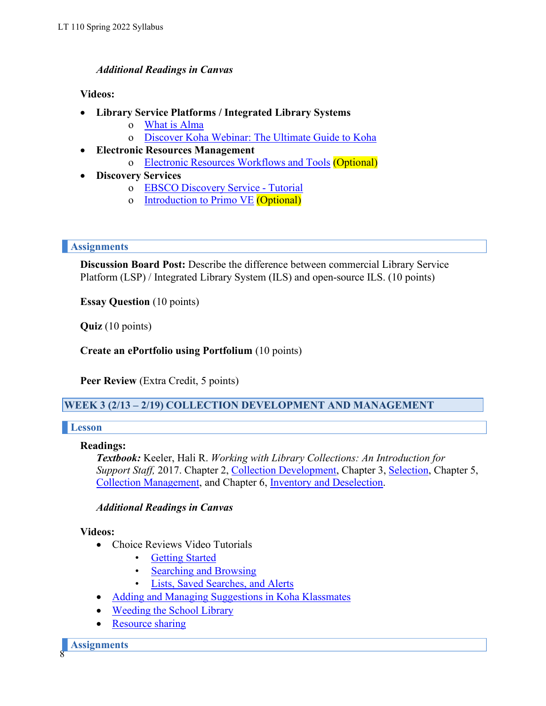### *Additional Readings in Canvas*

#### **Videos:**

- **Library Service Platforms / Integrated Library Systems**
	- o What is [Alma](http://exl-edu.com/01_Alma/Getting_to_Know_Alma/3_Orientation/Orientation_1_Welcome/)
	- o [Discover Koha Webinar: The Ultimate Guide to Koha](https://www.youtube.com/watch?v=QRfpNRoDy2M)
- **Electronic Resources Management**
	- o Electronic Resources [Workflows](https://www.youtube.com/watch?v=wFTEq_eVlOg) and Tools (Optional)
- **Discovery Services**
	- o EBSCO [Discovery](https://youtu.be/FXMrYV0uWFQ) Service Tutorial
	- o [Introduction to Primo VE](https://www.youtube.com/watch?v=J73UtYdJ75I) (Optional)

#### **Assignments**

**Discussion Board Post:** Describe the difference between commercial Library Service Platform (LSP) / Integrated Library System (ILS) and open-source ILS. (10 points)

**Essay Question** (10 points)

**Quiz** (10 points)

**Create an ePortfolio using Portfolium** (10 points)

**Peer Review** (Extra Credit, 5 points)

**WEEK 3 (2/13 – 2/19) COLLECTION DEVELOPMENT AND MANAGEMENT**

#### **Lesson**

#### **Readings:**

*Textbook:* Keeler, Hali R. *Working with Library Collections: An Introduction for Support Staff,* 2017. Chapter 2, Collection [Development,](https://login.ezproxy.palomar.edu/login?url=http://search.ebscohost.com/login.aspx?direct=true&db=nlebk&AN=1438877&site=ehost-live&scope=site&ebv=EB&ppid=pp_13) Chapter 3, [Selection,](https://login.ezproxy.palomar.edu/login?url=http://search.ebscohost.com/login.aspx?direct=true&db=nlebk&AN=1438877&site=ehost-live&scope=site&ebv=EB&ppid=pp_31) Chapter 5, Collection [Management,](https://login.ezproxy.palomar.edu/login?url=http://search.ebscohost.com/login.aspx?direct=true&db=nlebk&AN=1438877&site=ehost-live&scope=site&ebv=EB&ppid=pp_57) and Chapter 6, Inventory [and Deselection.](https://login.ezproxy.palomar.edu/login?url=http://search.ebscohost.com/login.aspx?direct=true&db=nlebk&AN=1438877&site=ehost-live&scope=site&ebv=EB&ppid=pp_69)

#### *Additional Readings in Canvas*

#### **Videos:**

- Choice Reviews Video Tutorials
	- **[Getting Started](https://www.youtube.com/watch?v=2cP_tNEQ60E)**
	- [Searching and Browsing](https://www.youtube.com/watch?v=KIp5r1t3dvE)
	- [Lists, Saved Searches, and Alerts](https://www.youtube.com/watch?v=N_HZ93MpCOM)
- Adding and Managing [Suggestions](https://www.youtube.com/watch?v=h_OWp9NeddY) in Koha Klassmates
- [Weeding](https://youtu.be/TbjcU1kG1Ss) the School Library
- [Resource](https://www.youtube.com/watch?v=H2IkSHe0Qek) sharing

8 **Assignments**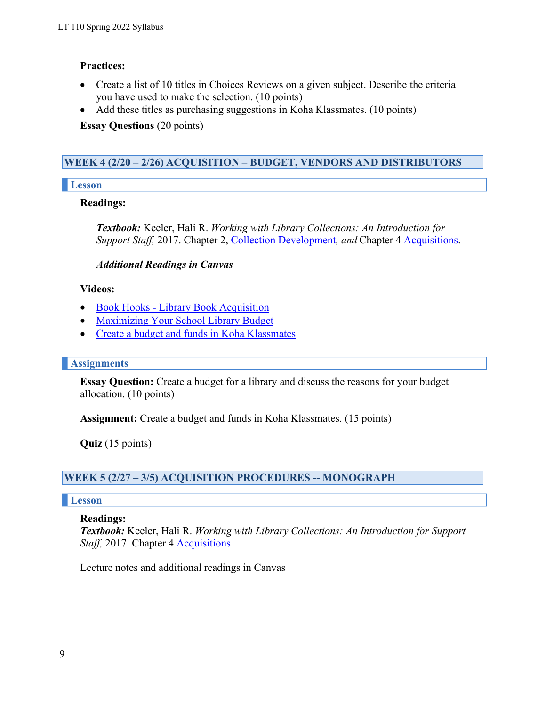## **Practices:**

- Create a list of 10 titles in Choices Reviews on a given subject. Describe the criteria you have used to make the selection. (10 points)
- Add these titles as purchasing suggestions in Koha Klassmates. (10 points)

**Essay Questions** (20 points)

## **WEEK 4 (2/20 – 2/26) ACQUISITION – BUDGET, VENDORS AND DISTRIBUTORS**

## **Lesson**

## **Readings:**

*Textbook:* Keeler, Hali R. *Working with Library Collections: An Introduction for Support Staff,* 2017. Chapter 2, Collection [Development](https://login.ezproxy.palomar.edu/login?url=http://search.ebscohost.com/login.aspx?direct=true&db=nlebk&AN=1438877&site=ehost-live&scope=site&ebv=EB&ppid=pp_13)*, and* Chapter 4 [Acquisitions.](https://login.ezproxy.palomar.edu/login?url=http://search.ebscohost.com/login.aspx?direct=true&db=nlebk&AN=1438877&site=ehost-live&scope=site&ebv=EB&ppid=pp_43)

## *Additional Readings in Canvas*

## **Videos:**

- Book Hooks Library Book [Acquisition](https://youtu.be/Qn_fcOlBxtg)
- [Maximizing](https://youtu.be/Qn_fcOlBxtg) Your School Library Budget
- Create a budget and funds in Koha [Klassmates](https://youtu.be/fagJ200n1qk)

## **Assignments**

**Essay Question:** Create a budget for a library and discuss the reasons for your budget allocation. (10 points)

**Assignment:** Create a budget and funds in Koha Klassmates. (15 points)

**Quiz** (15 points)

## **WEEK 5 (2/27 – 3/5) ACQUISITION PROCEDURES -- MONOGRAPH**

## **Lesson**

## **Readings:**

*Textbook:* Keeler, Hali R. *Working with Library Collections: An Introduction for Support Staff,* 2017. Chapter 4 **Acquisitions** 

Lecture notes and additional readings in Canvas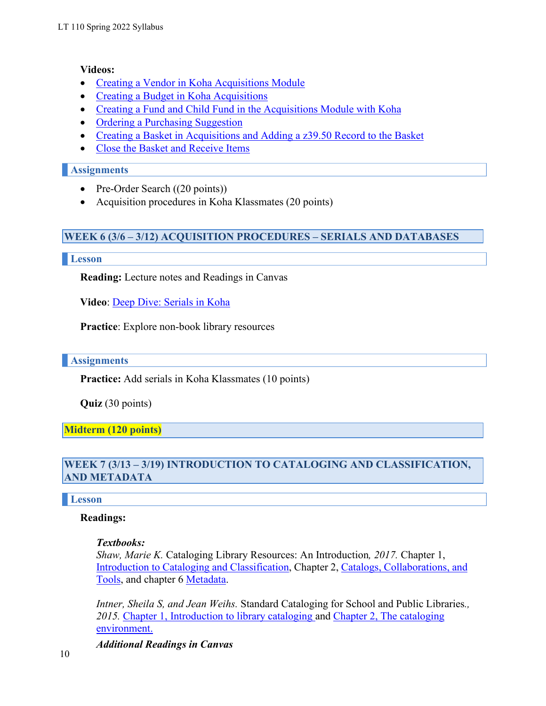### **Videos:**

- [Creating a Vendor in Koha Acquisitions Module](https://youtu.be/GLijx8jgboI)
- [Creating a Budget in Koha Acquisitions](https://youtu.be/qema4ep7QRg)
- [Creating a Fund and Child Fund in the Acquisitions Module with Koha](https://youtu.be/khX_tu87C1w)
- [Ordering a Purchasing Suggestion](https://youtu.be/HGRhcqL8SYs)
- [Creating a Basket in Acquisitions and Adding a z39.50 Record to the Basket](https://youtu.be/eAW9UKX6slo)
- [Close the Basket and Receive Items](https://youtu.be/UPsgcM4dNKI)

## **Assignments**

- Pre-Order Search ((20 points))
- Acquisition procedures in Koha Klassmates (20 points)

## **WEEK 6 (3/6 – 3/12) ACQUISITION PROCEDURES – SERIALS AND DATABASES**

#### **Lesson**

**Reading:** Lecture notes and Readings in Canvas

**Video**: [Deep Dive: Serials in Koha](https://youtu.be/DFnS7BK5aPM)

**Practice**: Explore non-book library resources

## **Assignments**

**Practice:** Add serials in Koha Klassmates (10 points)

**Quiz** (30 points)

**Midterm (120 points)**

## **WEEK 7 (3/13 – 3/19) INTRODUCTION TO CATALOGING AND CLASSIFICATION, AND METADATA**

## **Lesson**

## **Readings:**

#### *Textbooks:*

*Shaw, Marie K.* Cataloging Library Resources: An Introduction*, 2017.* Chapter 1, Introduction to Cataloging and [Classification,](https://login.ezproxy.palomar.edu/login?url=http://search.ebscohost.com/login.aspx?direct=true&db=nlebk&AN=1445317&site=ehost-live&scope=site&ebv=EB&ppid=pp_3) Chapter 2, Catalogs, [Collaborations,](https://login.ezproxy.palomar.edu/login?url=http://search.ebscohost.com/login.aspx?direct=true&db=nlebk&AN=1445317&site=ehost-live&scope=site&ebv=EB&ppid=pp_15) and [Tools,](https://login.ezproxy.palomar.edu/login?url=http%3A//search.ebscohost.com/login.aspx%3Fdirect%3Dtrue&db=nlebk&AN=1445317&site=ehost-live&scope=site&ebv=EB&ppid=pp_15) and chapter 6 [Metadata.](https://login.ezproxy.palomar.edu/login?url=http://search.ebscohost.com/login.aspx?direct=true&db=nlebk&AN=1445317&site=ehost-live&scope=site&ebv=EB&ppid=pp_85)

*Intner, Sheila S, and Jean Weihs.* Standard Cataloging for School and Public Libraries*., 2015.* [Chapter 1, Introduction to library cataloging a](https://login.ezproxy.palomar.edu/login?url=http://search.ebscohost.com/login.aspx?direct=true&db=nlebk&AN=941339&site=ehost-live&scope=site&ebv=EB&ppid=pp_13)nd [Chapter 2, The cataloging](https://login.ezproxy.palomar.edu/login?url=http://search.ebscohost.com/login.aspx?direct=true&db=nlebk&AN=941339&site=ehost-live&scope=site&ebv=EB&ppid=pp_13) [environment.](https://login.ezproxy.palomar.edu/login?url=http%3A//search.ebscohost.com/login.aspx%3Fdirect%3Dtrue&db=nlebk&AN=941339&site=ehost-live&scope=site&ebv=EB&ppid=pp_13)

*Additional Readings in Canvas*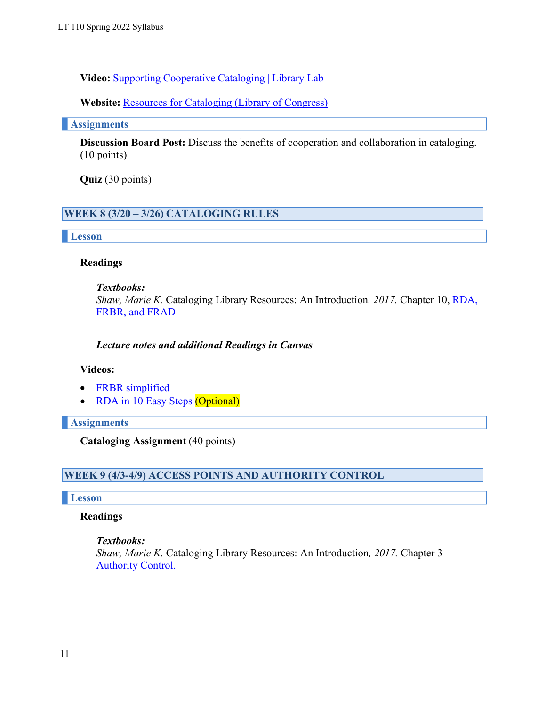**Video:** Supporting [Cooperative](https://youtu.be/1oBf6g15bZ0) Cataloging | Library Lab

**Website:** [Resources for Cataloging \(Library of Congress\)](https://www.loc.gov/aba/cataloging/tools/)

**Assignments**

**Discussion Board Post:** Discuss the benefits of cooperation and collaboration in cataloging. (10 points)

**Quiz** (30 points)

## **WEEK 8 (3/20 – 3/26) CATALOGING RULES**

**Lesson**

#### **Readings**

#### *Textbooks:*

*Shaw, Marie K.* Cataloging Library Resources: An Introduction*. 2017.* Chapter 10, [RDA,](https://login.ezproxy.palomar.edu/login?url=http%3A//search.ebscohost.com/login.aspx%3Fdirect%3Dtrue&db=nlebk&AN=1445317&site=ehost-live&scope=site&ebv=EB&ppid=pp_161) FRBR, [and FRAD](https://login.ezproxy.palomar.edu/login?url=http://search.ebscohost.com/login.aspx?direct=true&db=nlebk&AN=1445317&site=ehost-live&scope=site&ebv=EB&ppid=pp_161)

#### *Lecture notes and additional Readings in Canvas*

#### **Videos:**

- FRBR [simplified](https://youtu.be/LPBpP0wbWTg)
- RDA in 10 Easy [Steps](https://youtu.be/D3hafSNH_3A) (Optional)

**Assignments**

**Cataloging Assignment** (40 points)

## **WEEK 9 (4/3-4/9) ACCESS POINTS AND AUTHORITY CONTROL**

#### **Lesson**

#### **Readings**

*Textbooks:*

*Shaw, Marie K.* Cataloging Library Resources: An Introduction*, 2017.* Chapter 3 **[Authority](https://login.ezproxy.palomar.edu/login?url=http://search.ebscohost.com/login.aspx?direct=true&db=nlebk&AN=1445317&site=ehost-live&scope=site&ebv=EB&ppid=pp_33) Control.**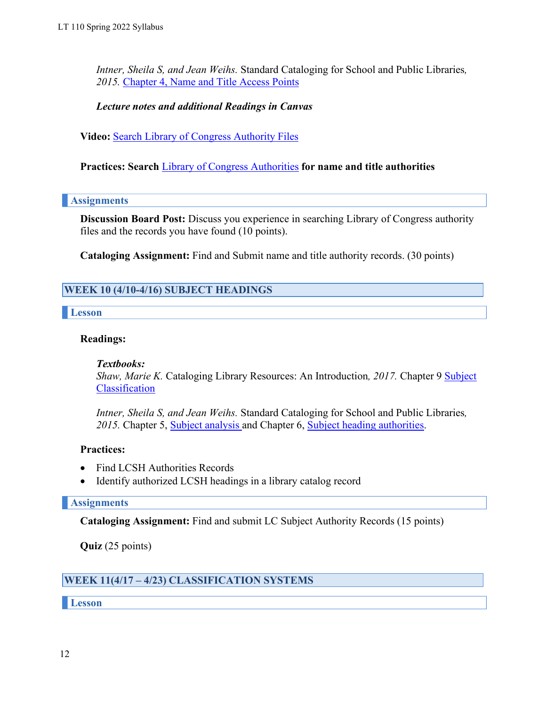*Intner, Sheila S, and Jean Weihs.* Standard Cataloging for School and Public Libraries*, 2015.* Chapter 4, Name and Title [Access Points](https://login.ezproxy.palomar.edu/login?url=http://search.ebscohost.com/login.aspx?direct=true&db=nlebk&AN=941339&site=ehost-live&scope=site&ebv=EB&ppid=pp_51)

#### *Lecture notes and additional Readings in Canvas*

**Video:** [Search Library](https://youtu.be/VygLMvuY-HA) of Congress Authority Files

**Practices: Search** Library of Congress [Authorities](http://authorities.loc.gov/) **for name and title authorities**

#### **Assignments**

**Discussion Board Post:** Discuss you experience in searching Library of Congress authority files and the records you have found (10 points).

**Cataloging Assignment:** Find and Submit name and title authority records. (30 points)

## **WEEK 10 (4/10-4/16) SUBJECT HEADINGS**

#### **Lesson**

#### **Readings:**

#### *Textbooks:*

*Shaw, Marie K.* Cataloging Library Resources: An Introduction*, 2017.* Chapter 9 [Subject](https://login.ezproxy.palomar.edu/login?url=http%3A//search.ebscohost.com/login.aspx%3Fdirect%3Dtrue&db=nlebk&AN=1445317&site=ehost-live&scope=site&ebv=EB&ppid=pp_139) [Classification](https://login.ezproxy.palomar.edu/login?url=http://search.ebscohost.com/login.aspx?direct=true&db=nlebk&AN=1445317&site=ehost-live&scope=site&ebv=EB&ppid=pp_139)

*Intner, Sheila S, and Jean Weihs.* Standard Cataloging for School and Public Libraries*,* 2015. Chapter 5, **Subject analysis** and Chapter 6, [Subject heading authorities.](https://login.ezproxy.palomar.edu/login?url=http://search.ebscohost.com/login.aspx?direct=true&db=nlebk&AN=941339&site=ehost-live&scope=site&ebv=EB&ppid=pp_79)

#### **Practices:**

- Find LCSH Authorities Records
- Identify authorized LCSH headings in a library catalog record

#### **Assignments**

**Cataloging Assignment:** Find and submit LC Subject Authority Records (15 points)

**Quiz** (25 points)

## **WEEK 11(4/17 – 4/23) CLASSIFICATION SYSTEMS**

**Lesson**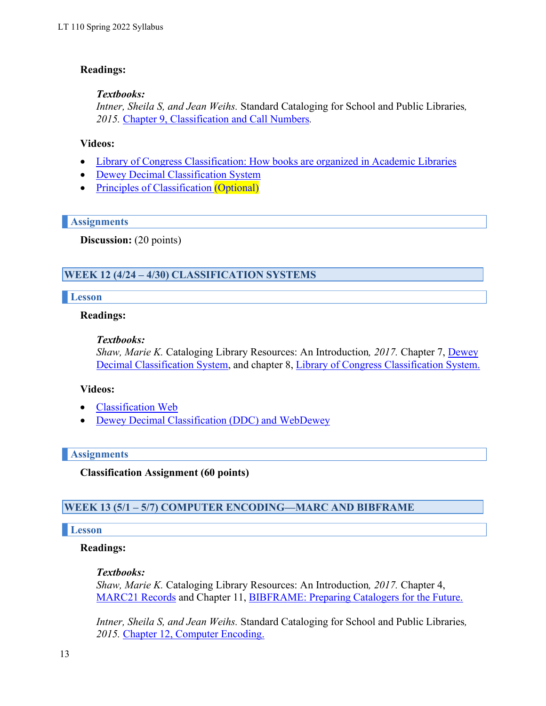## **Readings:**

#### *Textbooks:*

*Intner, Sheila S, and Jean Weihs.* Standard Cataloging for School and Public Libraries*, 2015.* Chapter [9, Classification and Call](https://login.ezproxy.palomar.edu/login?url=http://search.ebscohost.com/login.aspx?direct=true&db=nlebk&AN=941339&site=ehost-live&scope=site&ebv=EB&ppid=pp_119) Numbers*.*

#### **Videos:**

- Library of Congress Classification: How books are organized in [Academic Libraries](https://youtu.be/Vq_nXCKqvvI)
- Dewey Decimal [Classification](https://youtu.be/PJ3iEWnIrU8) System
- Principles of [Classification](https://youtu.be/5aaCr9vpmxc) (Optional)

#### **Assignments**

**Discussion:** (20 points)

## **WEEK 12 (4/24 – 4/30) CLASSIFICATION SYSTEMS**

#### **Lesson**

#### **Readings:**

#### *Textbooks:*

*Shaw, Marie K.* Cataloging Library Resources: An Introduction*, 2017.* Chapter 7, [Dewey](https://login.ezproxy.palomar.edu/login?url=http%3A//search.ebscohost.com/login.aspx%3Fdirect%3Dtrue&db=nlebk&AN=1445317&site=ehost-live&scope=site&ebv=EB&ppid=pp_103) Decimal [Classification](https://login.ezproxy.palomar.edu/login?url=http%3A//search.ebscohost.com/login.aspx%3Fdirect%3Dtrue&db=nlebk&AN=1445317&site=ehost-live&scope=site&ebv=EB&ppid=pp_103) System, and chapter 8, Library of Congress [Classification](https://login.ezproxy.palomar.edu/login?url=http%3A//search.ebscohost.com/login.aspx%3Fdirect%3Dtrue&db=nlebk&AN=1445317&site=ehost-live&scope=site&ebv=EB&ppid=pp_121) System.

#### **Videos:**

- [Classification](https://youtu.be/F7_DKgs2V3I) Web
- Dewey Decimal Classification (DDC) [and WebDewey](https://youtu.be/pX6AxjV9fVU)

#### **Assignments**

**Classification Assignment (60 points)**

#### **WEEK 13 (5/1 – 5/7) COMPUTER ENCODING—MARC AND BIBFRAME**

#### **Lesson**

#### **Readings:**

#### *Textbooks:*

*Shaw, Marie K.* Cataloging Library Resources: An Introduction*, 2017.* Chapter 4, [MARC21](https://login.ezproxy.palomar.edu/login?url=http%3A//search.ebscohost.com/login.aspx%3Fdirect%3Dtrue&db=nlebk&AN=1445317&site=ehost-live&scope=site&ebv=EB&ppid=pp_49) Records and Chapter 11, [BIBFRAME: Preparing](https://login.ezproxy.palomar.edu/login?url=http%3A//search.ebscohost.com/login.aspx%3Fdirect%3Dtrue&db=nlebk&AN=1445317&site=ehost-live&scope=site&ebv=EB&ppid=pp_179) Catalogers for the Future.

*Intner, Sheila S, and Jean Weihs.* Standard Cataloging for School and Public Libraries*, 2015.* Chapter [12, Computer](https://youtu.be/pX6AxjV9fVU) Encoding.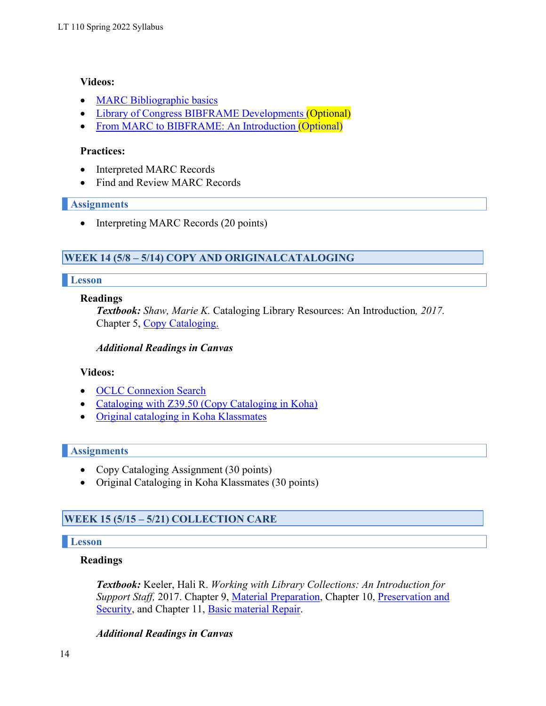### **Videos:**

- MARC [Bibliographic](https://youtu.be/Wa1Y21Q2-sI) basics
- Library of Congress BIBFRAME [Developments](https://youtu.be/K3nZuydvTBQ) (Optional)
- From MARC to [BIBFRAME:](https://youtu.be/OQijXJauo8I) An Introduction (Optional)

### **Practices:**

- Interpreted MARC Records
- Find and Review MARC Records

### **Assignments**

• Interpreting MARC Records (20 points)

## **WEEK 14 (5/8 – 5/14) COPY AND ORIGINALCATALOGING**

### **Lesson**

### **Readings**

*Textbook: Shaw, Marie K.* Cataloging Library Resources: An Introduction*, 2017.* Chapter 5, Copy [Cataloging.](https://login.ezproxy.palomar.edu/login?url=http://search.ebscohost.com/login.aspx?direct=true&db=nlebk&AN=1445317&site=ehost-live&scope=site&ebv=EB&ppid=pp_67)

### *Additional Readings in Canvas*

## **Videos:**

- OCLC [Connexion](https://youtu.be/hw5hMnnzXcs) Search
- [Cataloging with Z39.50 \(Copy Cataloging in Koha\)](https://youtu.be/AAndm9nz4rI)
- [Original](https://youtu.be/ZePoCuQojNQ) cataloging in Koha Klassmates

## **Assignments**

- Copy Cataloging Assignment (30 points)
- Original Cataloging in Koha Klassmates (30 points)

## **WEEK 15 (5/15 – 5/21) COLLECTION CARE**

## **Lesson**

## **Readings**

*Textbook:* Keeler, Hali R. *Working with Library Collections: An Introduction for Support Staff,* 2017. Chapter 9, [Material Preparation,](https://login.ezproxy.palomar.edu/login?url=http://search.ebscohost.com/login.aspx?direct=true&db=nlebk&AN=1438877&site=ehost-live&scope=site&ebv=EK&ppid=Page-__-108) Chapter 10, [Preservation and](https://login.ezproxy.palomar.edu/login?url=http://search.ebscohost.com/login.aspx?direct=true&db=nlebk&AN=1438877&site=ehost-live&scope=site&ebv=EB&ppid=pp_129) [Security,](https://login.ezproxy.palomar.edu/login?url=http%3A//search.ebscohost.com/login.aspx%3Fdirect%3Dtrue&db=nlebk&AN=1438877&site=ehost-live&scope=site&ebv=EB&ppid=pp_129) and Chapter 11, Basic [material Repair.](https://login.ezproxy.palomar.edu/login?url=http://search.ebscohost.com/login.aspx?direct=true&db=nlebk&AN=1438877&site=ehost-live&scope=site&ebv=EB&ppid=pp_145)

## *Additional Readings in Canvas*